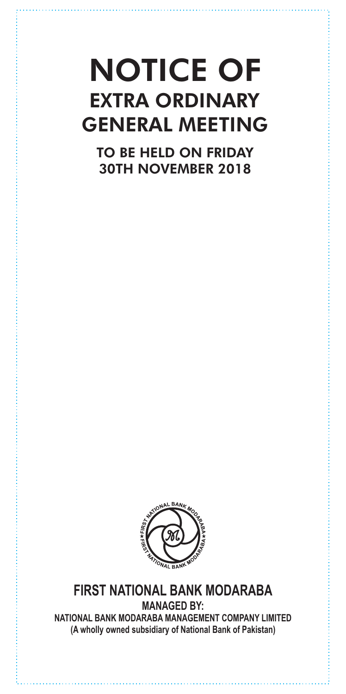# NOTICE OF EXTRA ORDINARY GENERAL MEETING

TO BE HELD ON FRIDAY 30TH NOVEMBER 2018



# **FIRST NATIONAL BANK MODARABA MANAGED BY: NATIONAL BANK MODARABA MANAGEMENT COMPANY LIMITED (A wholly owned subsidiary of National Bank of Pakistan)**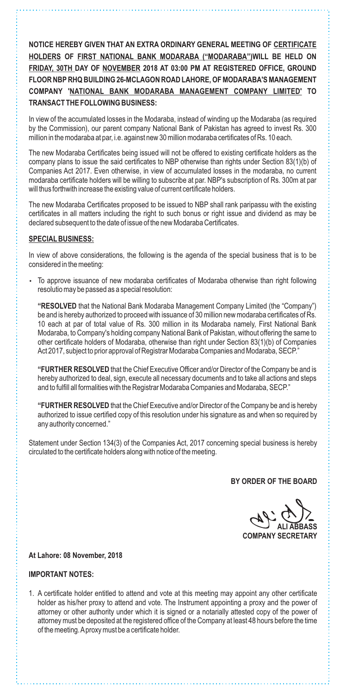**NOTICE HEREBY GIVEN THAT AN EXTRA ORDINARY GENERAL MEETING OF CERTIFICATE HOLDERS OF FIRST NATIONAL BANK MODARABA ("MODARABA")WILL BE HELD ON FRIDAY, 30TH DAY OF NOVEMBER 2018 AT 03:00 PM AT REGISTERED OFFICE, GROUND FLOOR NBPRHQ BUILDING 26-MCLAGON ROAD LAHORE, OF MODARABA'S MANAGEMENT COMPANY 'NATIONAL BANK MODARABA MANAGEMENT COMPANY LIMITED' TO TRANSACT THE FOLLOWING BUSINESS:**

In view of the accumulated losses in the Modaraba, instead of winding up the Modaraba (as required by the Commission), our parent company National Bank of Pakistan has agreed to invest Rs. 300 million in the modaraba at par, i.e. against new 30 million modaraba certificates of Rs. 10 each.

The new Modaraba Certificates being issued will not be offered to existing certificate holders as the company plans to issue the said certificates to NBP otherwise than rights under Section 83(1)(b) of Companies Act 2017. Even otherwise, in view of accumulated losses in the modaraba, no current modaraba certificate holders will be willing to subscribe at par. NBP's subscription of Rs. 300m at par will thus forthwith increase the existing value of current certificate holders.

The new Modaraba Certificates proposed to be issued to NBP shall rank paripassu with the existing certificates in all matters including the right to such bonus or right issue and dividend as may be declared subsequent to the date of issue of the new Modaraba Certificates.

### **SPECIALBUSINESS:**

In view of above considerations, the following is the agenda of the special business that is to be considered in the meeting:

· To approve issuance of new modaraba certificates of Modaraba otherwise than right following resolutio may be passed as a special resolution:

**"RESOLVED** that the National Bank Modaraba Management Company Limited (the "Company") be and is hereby authorized to proceed with issuance of 30 million new modaraba certificates of Rs. 10 each at par of total value of Rs. 300 million in its Modaraba namely, First National Bank Modaraba, to Company's holding company National Bank of Pakistan, without offering the same to other certificate holders of Modaraba, otherwise than right under Section 83(1)(b) of Companies Act 2017, subject to prior approval of Registrar Modaraba Companies and Modaraba, SECP."

**"FURTHER RESOLVED** that the Chief Executive Officer and/or Director of the Company be and is hereby authorized to deal, sign, execute all necessary documents and to take all actions and steps and to fulfill all formalities with the Registrar Modaraba Companies and Modaraba, SECP."

**"FURTHER RESOLVED** that the Chief Executive and/or Director of the Company be and is hereby authorized to issue certified copy of this resolution under his signature as and when so required by any authority concerned."

Statement under Section 134(3) of the Companies Act, 2017 concerning special business is hereby circulated to the certificate holders along with notice of the meeting.

**BY ORDER OF THE BOARD**

**ALI ABBASS COMPANY SECRETARY**

**At Lahore: 08 November, 2018**

#### **IMPORTANT NOTES:**

1. A certificate holder entitled to attend and vote at this meeting may appoint any other certificate holder as his/her proxy to attend and vote. The Instrument appointing a proxy and the power of attorney or other authority under which it is signed or a notarially attested copy of the power of attorney must be deposited at the registered office of the Company at least 48 hours before the time of the meeting. Aproxy must be a certificate holder.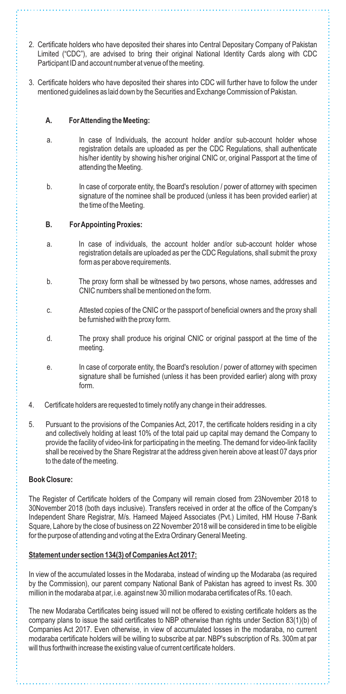- 2. Certificate holders who have deposited their shares into Central Depositary Company of Pakistan Limited ("CDC"), are advised to bring their original National Identity Cards along with CDC Participant ID and account number at venue of the meeting.
- 3. Certificate holders who have deposited their shares into CDC will further have to follow the under mentioned guidelines as laid down by the Securities and Exchange Commission of Pakistan.

# **A. For Attending the Meeting:**

- a. In case of Individuals, the account holder and/or sub-account holder whose registration details are uploaded as per the CDC Regulations, shall authenticate his/her identity by showing his/her original CNIC or, original Passport at the time of attending the Meeting.
- b. In case of corporate entity, the Board's resolution / power of attorney with specimen signature of the nominee shall be produced (unless it has been provided earlier) at the time of the Meeting.

### **B. For Appointing Proxies:**

- a. In case of individuals, the account holder and/or sub-account holder whose registration details are uploaded as per the CDC Regulations, shall submit the proxy form as per above requirements.
- b. The proxy form shall be witnessed by two persons, whose names, addresses and CNIC numbers shall be mentioned on the form.
- c. Attested copies of the CNIC or the passport of beneficial owners and the proxy shall be furnished with the proxy form.
- d. The proxy shall produce his original CNIC or original passport at the time of the meeting.
- e. In case of corporate entity, the Board's resolution / power of attorney with specimen signature shall be furnished (unless it has been provided earlier) along with proxy form.
- 4. Certificate holders are requested to timely notify any change in their addresses.
- 5. Pursuant to the provisions of the Companies Act, 2017, the certificate holders residing in a city and collectively holding at least 10% of the total paid up capital may demand the Company to provide the facility of video-link for participating in the meeting. The demand for video-link facility shall be received by the Share Registrar at the address given herein above at least 07 days prior to the date of the meeting.

### **Book Closure:**

The Register of Certificate holders of the Company will remain closed from 23November 2018 to 30November 2018 (both days inclusive). Transfers received in order at the office of the Company's Independent Share Registrar, M/s. Hameed Majeed Associates (Pvt.) Limited, HM House 7-Bank Square, Lahore by the close of business on 22 November 2018 will be considered in time to be eligible for the purpose of attending and voting at the Extra Ordinary General Meeting.

# **Statement under section 134(3) of Companies Act 2017:**

In view of the accumulated losses in the Modaraba, instead of winding up the Modaraba (as required by the Commission), our parent company National Bank of Pakistan has agreed to invest Rs. 300 million in the modaraba at par, i.e. against new 30 million modaraba certificates of Rs. 10 each.

The new Modaraba Certificates being issued will not be offered to existing certificate holders as the company plans to issue the said certificates to NBP otherwise than rights under Section 83(1)(b) of Companies Act 2017. Even otherwise, in view of accumulated losses in the modaraba, no current modaraba certificate holders will be willing to subscribe at par. NBP's subscription of Rs. 300m at par will thus forthwith increase the existing value of current certificate holders.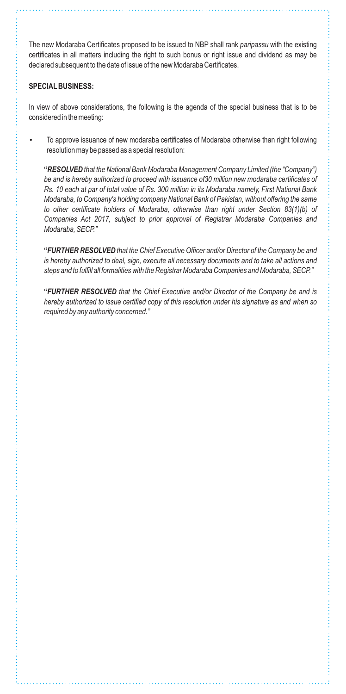The new Modaraba Certificates proposed to be issued to NBP shall rank *paripassu* with the existing certificates in all matters including the right to such bonus or right issue and dividend as may be declared subsequent to the date of issue of the new Modaraba Certificates.

# **SPECIALBUSINESS:**

In view of above considerations, the following is the agenda of the special business that is to be considered in the meeting:

To approve issuance of new modaraba certificates of Modaraba otherwise than right following resolution may be passed as a special resolution:

**"***RESOLVED that the National Bank Modaraba Management Company Limited (the "Company") be and is hereby authorized to proceed with issuance of30 million new modaraba certificates of Rs. 10 each at par of total value of Rs. 300 million in its Modaraba namely, First National Bank Modaraba, to Company's holding company National Bank of Pakistan, without offering the same to other certificate holders of Modaraba, otherwise than right under Section 83(1)(b) of Companies Act 2017, subject to prior approval of Registrar Modaraba Companies and Modaraba, SECP."*

**"***FURTHER RESOLVED that the Chief Executive Officer and/or Director of the Company be and is hereby authorized to deal, sign, execute all necessary documents and to take all actions and steps and to fulfill all formalities with the Registrar Modaraba Companies and Modaraba, SECP."*

**"***FURTHER RESOLVED that the Chief Executive and/or Director of the Company be and is hereby authorized to issue certified copy of this resolution under his signature as and when so required by any authority concerned."*